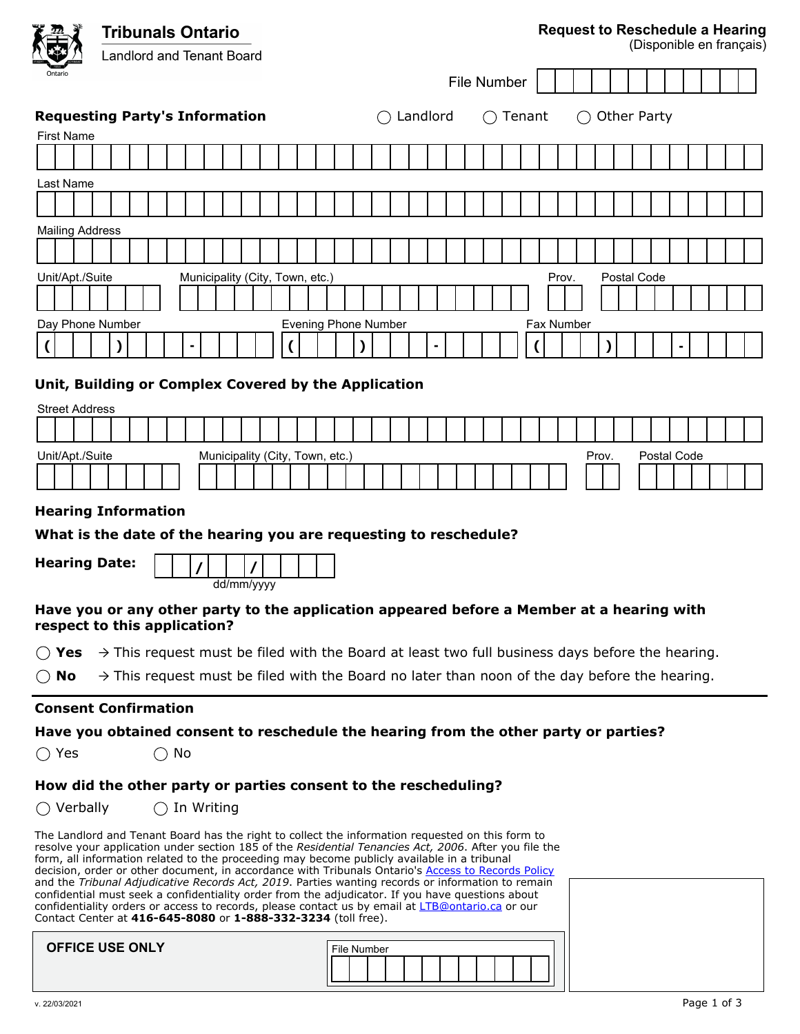|         |                                                                                                                                                                                                                                                                                                                                                                                                                                                                                                                                                                                                                                                                                                                                                                                              |  | <b>Tribunals Ontario</b> |                                  |  |  |  |    |  |  |            |  |  |                    |                                                                                                             |  | <b>Request to Reschedule a Hearing</b><br>(Disponible en français) |                             |          |  |  |  |  |  |        |  |                   |       |  |       |  |  |             |  |  |  |  |  |
|---------|----------------------------------------------------------------------------------------------------------------------------------------------------------------------------------------------------------------------------------------------------------------------------------------------------------------------------------------------------------------------------------------------------------------------------------------------------------------------------------------------------------------------------------------------------------------------------------------------------------------------------------------------------------------------------------------------------------------------------------------------------------------------------------------------|--|--------------------------|----------------------------------|--|--|--|----|--|--|------------|--|--|--------------------|-------------------------------------------------------------------------------------------------------------|--|--------------------------------------------------------------------|-----------------------------|----------|--|--|--|--|--|--------|--|-------------------|-------|--|-------|--|--|-------------|--|--|--|--|--|
|         |                                                                                                                                                                                                                                                                                                                                                                                                                                                                                                                                                                                                                                                                                                                                                                                              |  |                          | <b>Landlord and Tenant Board</b> |  |  |  |    |  |  |            |  |  |                    |                                                                                                             |  |                                                                    |                             |          |  |  |  |  |  |        |  |                   |       |  |       |  |  |             |  |  |  |  |  |
| Ontario |                                                                                                                                                                                                                                                                                                                                                                                                                                                                                                                                                                                                                                                                                                                                                                                              |  |                          |                                  |  |  |  |    |  |  |            |  |  | <b>File Number</b> |                                                                                                             |  |                                                                    |                             |          |  |  |  |  |  |        |  |                   |       |  |       |  |  |             |  |  |  |  |  |
|         | <b>Requesting Party's Information</b>                                                                                                                                                                                                                                                                                                                                                                                                                                                                                                                                                                                                                                                                                                                                                        |  |                          |                                  |  |  |  |    |  |  |            |  |  |                    |                                                                                                             |  |                                                                    |                             | Landlord |  |  |  |  |  | Tenant |  |                   |       |  |       |  |  | Other Party |  |  |  |  |  |
|         | <b>First Name</b>                                                                                                                                                                                                                                                                                                                                                                                                                                                                                                                                                                                                                                                                                                                                                                            |  |                          |                                  |  |  |  |    |  |  |            |  |  |                    |                                                                                                             |  |                                                                    |                             |          |  |  |  |  |  |        |  |                   |       |  |       |  |  |             |  |  |  |  |  |
|         |                                                                                                                                                                                                                                                                                                                                                                                                                                                                                                                                                                                                                                                                                                                                                                                              |  |                          |                                  |  |  |  |    |  |  |            |  |  |                    |                                                                                                             |  |                                                                    |                             |          |  |  |  |  |  |        |  |                   |       |  |       |  |  |             |  |  |  |  |  |
|         | Last Name                                                                                                                                                                                                                                                                                                                                                                                                                                                                                                                                                                                                                                                                                                                                                                                    |  |                          |                                  |  |  |  |    |  |  |            |  |  |                    |                                                                                                             |  |                                                                    |                             |          |  |  |  |  |  |        |  |                   |       |  |       |  |  |             |  |  |  |  |  |
|         |                                                                                                                                                                                                                                                                                                                                                                                                                                                                                                                                                                                                                                                                                                                                                                                              |  |                          |                                  |  |  |  |    |  |  |            |  |  |                    |                                                                                                             |  |                                                                    |                             |          |  |  |  |  |  |        |  |                   |       |  |       |  |  |             |  |  |  |  |  |
|         | <b>Mailing Address</b>                                                                                                                                                                                                                                                                                                                                                                                                                                                                                                                                                                                                                                                                                                                                                                       |  |                          |                                  |  |  |  |    |  |  |            |  |  |                    |                                                                                                             |  |                                                                    |                             |          |  |  |  |  |  |        |  |                   |       |  |       |  |  |             |  |  |  |  |  |
|         |                                                                                                                                                                                                                                                                                                                                                                                                                                                                                                                                                                                                                                                                                                                                                                                              |  |                          |                                  |  |  |  |    |  |  |            |  |  |                    |                                                                                                             |  |                                                                    |                             |          |  |  |  |  |  |        |  |                   |       |  |       |  |  |             |  |  |  |  |  |
|         | Unit/Apt./Suite                                                                                                                                                                                                                                                                                                                                                                                                                                                                                                                                                                                                                                                                                                                                                                              |  |                          |                                  |  |  |  |    |  |  |            |  |  |                    | Municipality (City, Town, etc.)                                                                             |  |                                                                    |                             |          |  |  |  |  |  |        |  |                   | Prov. |  |       |  |  | Postal Code |  |  |  |  |  |
|         |                                                                                                                                                                                                                                                                                                                                                                                                                                                                                                                                                                                                                                                                                                                                                                                              |  |                          |                                  |  |  |  |    |  |  |            |  |  |                    |                                                                                                             |  |                                                                    |                             |          |  |  |  |  |  |        |  |                   |       |  |       |  |  |             |  |  |  |  |  |
|         | Day Phone Number                                                                                                                                                                                                                                                                                                                                                                                                                                                                                                                                                                                                                                                                                                                                                                             |  |                          |                                  |  |  |  |    |  |  |            |  |  |                    |                                                                                                             |  |                                                                    | <b>Evening Phone Number</b> |          |  |  |  |  |  |        |  | <b>Fax Number</b> |       |  |       |  |  |             |  |  |  |  |  |
|         |                                                                                                                                                                                                                                                                                                                                                                                                                                                                                                                                                                                                                                                                                                                                                                                              |  |                          |                                  |  |  |  |    |  |  |            |  |  |                    |                                                                                                             |  |                                                                    |                             |          |  |  |  |  |  |        |  |                   |       |  |       |  |  |             |  |  |  |  |  |
|         |                                                                                                                                                                                                                                                                                                                                                                                                                                                                                                                                                                                                                                                                                                                                                                                              |  |                          |                                  |  |  |  |    |  |  |            |  |  |                    |                                                                                                             |  |                                                                    |                             |          |  |  |  |  |  |        |  |                   |       |  |       |  |  |             |  |  |  |  |  |
|         | Unit, Building or Complex Covered by the Application                                                                                                                                                                                                                                                                                                                                                                                                                                                                                                                                                                                                                                                                                                                                         |  |                          |                                  |  |  |  |    |  |  |            |  |  |                    |                                                                                                             |  |                                                                    |                             |          |  |  |  |  |  |        |  |                   |       |  |       |  |  |             |  |  |  |  |  |
|         | <b>Street Address</b>                                                                                                                                                                                                                                                                                                                                                                                                                                                                                                                                                                                                                                                                                                                                                                        |  |                          |                                  |  |  |  |    |  |  |            |  |  |                    |                                                                                                             |  |                                                                    |                             |          |  |  |  |  |  |        |  |                   |       |  |       |  |  |             |  |  |  |  |  |
|         |                                                                                                                                                                                                                                                                                                                                                                                                                                                                                                                                                                                                                                                                                                                                                                                              |  |                          |                                  |  |  |  |    |  |  |            |  |  |                    |                                                                                                             |  |                                                                    |                             |          |  |  |  |  |  |        |  |                   |       |  |       |  |  |             |  |  |  |  |  |
|         | Unit/Apt./Suite                                                                                                                                                                                                                                                                                                                                                                                                                                                                                                                                                                                                                                                                                                                                                                              |  |                          |                                  |  |  |  |    |  |  |            |  |  |                    | Municipality (City, Town, etc.)                                                                             |  |                                                                    |                             |          |  |  |  |  |  |        |  |                   |       |  | Prov. |  |  | Postal Code |  |  |  |  |  |
|         |                                                                                                                                                                                                                                                                                                                                                                                                                                                                                                                                                                                                                                                                                                                                                                                              |  |                          |                                  |  |  |  |    |  |  |            |  |  |                    |                                                                                                             |  |                                                                    |                             |          |  |  |  |  |  |        |  |                   |       |  |       |  |  |             |  |  |  |  |  |
|         | <b>Hearing Information</b>                                                                                                                                                                                                                                                                                                                                                                                                                                                                                                                                                                                                                                                                                                                                                                   |  |                          |                                  |  |  |  |    |  |  |            |  |  |                    |                                                                                                             |  |                                                                    |                             |          |  |  |  |  |  |        |  |                   |       |  |       |  |  |             |  |  |  |  |  |
|         | What is the date of the hearing you are requesting to reschedule?                                                                                                                                                                                                                                                                                                                                                                                                                                                                                                                                                                                                                                                                                                                            |  |                          |                                  |  |  |  |    |  |  |            |  |  |                    |                                                                                                             |  |                                                                    |                             |          |  |  |  |  |  |        |  |                   |       |  |       |  |  |             |  |  |  |  |  |
|         |                                                                                                                                                                                                                                                                                                                                                                                                                                                                                                                                                                                                                                                                                                                                                                                              |  |                          |                                  |  |  |  |    |  |  |            |  |  |                    |                                                                                                             |  |                                                                    |                             |          |  |  |  |  |  |        |  |                   |       |  |       |  |  |             |  |  |  |  |  |
|         | <b>Hearing Date:</b>                                                                                                                                                                                                                                                                                                                                                                                                                                                                                                                                                                                                                                                                                                                                                                         |  |                          |                                  |  |  |  |    |  |  |            |  |  |                    |                                                                                                             |  |                                                                    |                             |          |  |  |  |  |  |        |  |                   |       |  |       |  |  |             |  |  |  |  |  |
|         |                                                                                                                                                                                                                                                                                                                                                                                                                                                                                                                                                                                                                                                                                                                                                                                              |  |                          |                                  |  |  |  |    |  |  | dd/mm/yyyy |  |  |                    |                                                                                                             |  |                                                                    |                             |          |  |  |  |  |  |        |  |                   |       |  |       |  |  |             |  |  |  |  |  |
|         | Have you or any other party to the application appeared before a Member at a hearing with<br>respect to this application?                                                                                                                                                                                                                                                                                                                                                                                                                                                                                                                                                                                                                                                                    |  |                          |                                  |  |  |  |    |  |  |            |  |  |                    |                                                                                                             |  |                                                                    |                             |          |  |  |  |  |  |        |  |                   |       |  |       |  |  |             |  |  |  |  |  |
|         | ( ) Yes                                                                                                                                                                                                                                                                                                                                                                                                                                                                                                                                                                                                                                                                                                                                                                                      |  |                          |                                  |  |  |  |    |  |  |            |  |  |                    | $\rightarrow$ This request must be filed with the Board at least two full business days before the hearing. |  |                                                                    |                             |          |  |  |  |  |  |        |  |                   |       |  |       |  |  |             |  |  |  |  |  |
|         | $\bigcirc$ No                                                                                                                                                                                                                                                                                                                                                                                                                                                                                                                                                                                                                                                                                                                                                                                |  |                          |                                  |  |  |  |    |  |  |            |  |  |                    | $\rightarrow$ This request must be filed with the Board no later than noon of the day before the hearing.   |  |                                                                    |                             |          |  |  |  |  |  |        |  |                   |       |  |       |  |  |             |  |  |  |  |  |
|         | <b>Consent Confirmation</b>                                                                                                                                                                                                                                                                                                                                                                                                                                                                                                                                                                                                                                                                                                                                                                  |  |                          |                                  |  |  |  |    |  |  |            |  |  |                    |                                                                                                             |  |                                                                    |                             |          |  |  |  |  |  |        |  |                   |       |  |       |  |  |             |  |  |  |  |  |
|         |                                                                                                                                                                                                                                                                                                                                                                                                                                                                                                                                                                                                                                                                                                                                                                                              |  |                          |                                  |  |  |  |    |  |  |            |  |  |                    |                                                                                                             |  |                                                                    |                             |          |  |  |  |  |  |        |  |                   |       |  |       |  |  |             |  |  |  |  |  |
|         | Have you obtained consent to reschedule the hearing from the other party or parties?<br>$\bigcirc$ Yes                                                                                                                                                                                                                                                                                                                                                                                                                                                                                                                                                                                                                                                                                       |  |                          |                                  |  |  |  | No |  |  |            |  |  |                    |                                                                                                             |  |                                                                    |                             |          |  |  |  |  |  |        |  |                   |       |  |       |  |  |             |  |  |  |  |  |
|         |                                                                                                                                                                                                                                                                                                                                                                                                                                                                                                                                                                                                                                                                                                                                                                                              |  |                          |                                  |  |  |  |    |  |  |            |  |  |                    |                                                                                                             |  |                                                                    |                             |          |  |  |  |  |  |        |  |                   |       |  |       |  |  |             |  |  |  |  |  |
|         | How did the other party or parties consent to the rescheduling?                                                                                                                                                                                                                                                                                                                                                                                                                                                                                                                                                                                                                                                                                                                              |  |                          |                                  |  |  |  |    |  |  |            |  |  |                    |                                                                                                             |  |                                                                    |                             |          |  |  |  |  |  |        |  |                   |       |  |       |  |  |             |  |  |  |  |  |
|         | $\bigcirc$ Verbally                                                                                                                                                                                                                                                                                                                                                                                                                                                                                                                                                                                                                                                                                                                                                                          |  |                          |                                  |  |  |  |    |  |  | In Writing |  |  |                    |                                                                                                             |  |                                                                    |                             |          |  |  |  |  |  |        |  |                   |       |  |       |  |  |             |  |  |  |  |  |
|         | The Landlord and Tenant Board has the right to collect the information requested on this form to<br>resolve your application under section 185 of the Residential Tenancies Act, 2006. After you file the<br>form, all information related to the proceeding may become publicly available in a tribunal<br>decision, order or other document, in accordance with Tribunals Ontario's Access to Records Policy<br>and the Tribunal Adjudicative Records Act, 2019. Parties wanting records or information to remain<br>confidential must seek a confidentiality order from the adjudicator. If you have questions about<br>confidentiality orders or access to records, please contact us by email at LTB@ontario.ca or our<br>Contact Center at 416-645-8080 or 1-888-332-3234 (toll free). |  |                          |                                  |  |  |  |    |  |  |            |  |  |                    |                                                                                                             |  |                                                                    |                             |          |  |  |  |  |  |        |  |                   |       |  |       |  |  |             |  |  |  |  |  |
|         | <b>OFFICE USE ONLY</b>                                                                                                                                                                                                                                                                                                                                                                                                                                                                                                                                                                                                                                                                                                                                                                       |  |                          |                                  |  |  |  |    |  |  |            |  |  |                    |                                                                                                             |  |                                                                    | File Number                 |          |  |  |  |  |  |        |  |                   |       |  |       |  |  |             |  |  |  |  |  |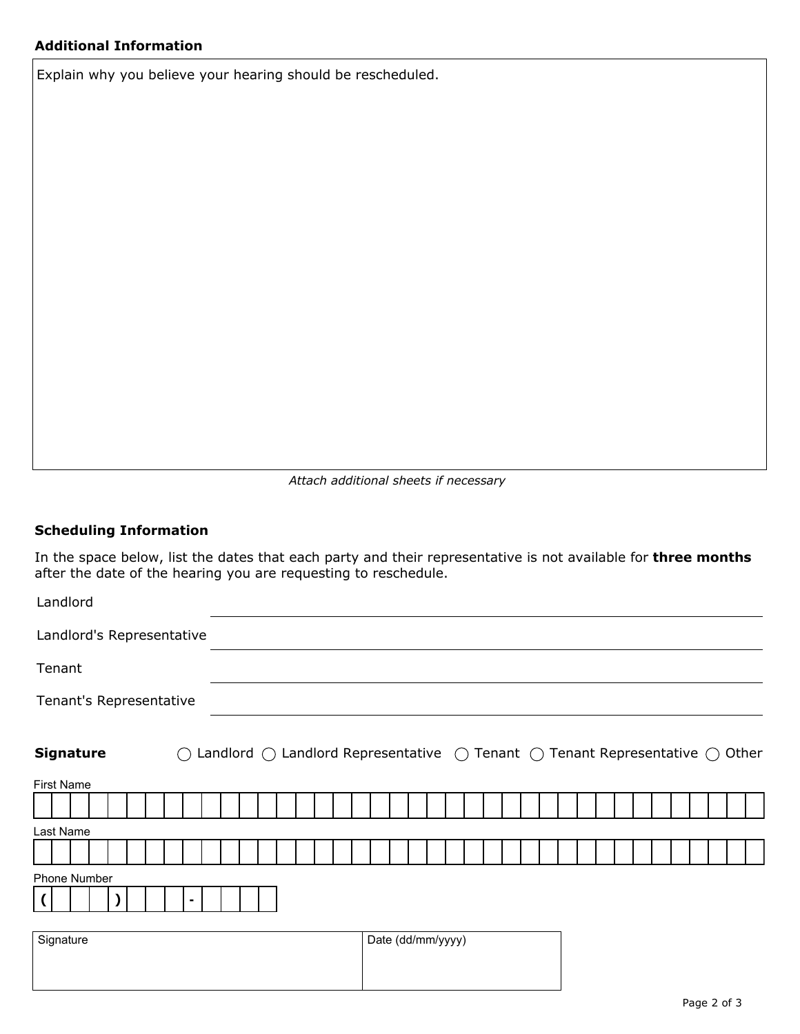Explain why you believe your hearing should be rescheduled.

*Attach additional sheets if necessary*

## **Scheduling Information**

In the space below, list the dates that each party and their representative is not available for **three months** after the date of the hearing you are requesting to reschedule.

| Landlord                              |                   |                                                                                                                 |  |  |  |  |  |  |  |  |
|---------------------------------------|-------------------|-----------------------------------------------------------------------------------------------------------------|--|--|--|--|--|--|--|--|
| Landlord's Representative             |                   |                                                                                                                 |  |  |  |  |  |  |  |  |
| Tenant                                |                   |                                                                                                                 |  |  |  |  |  |  |  |  |
| Tenant's Representative               |                   |                                                                                                                 |  |  |  |  |  |  |  |  |
| <b>Signature</b><br>( )<br>First Name |                   | Landlord $\bigcirc$ Landlord Representative $\bigcirc$ Tenant $\bigcirc$ Tenant Representative $\bigcirc$ Other |  |  |  |  |  |  |  |  |
|                                       |                   |                                                                                                                 |  |  |  |  |  |  |  |  |
| Last Name                             |                   |                                                                                                                 |  |  |  |  |  |  |  |  |
|                                       |                   |                                                                                                                 |  |  |  |  |  |  |  |  |
| Phone Number                          |                   |                                                                                                                 |  |  |  |  |  |  |  |  |
|                                       |                   |                                                                                                                 |  |  |  |  |  |  |  |  |
| Signature                             | Date (dd/mm/yyyy) |                                                                                                                 |  |  |  |  |  |  |  |  |